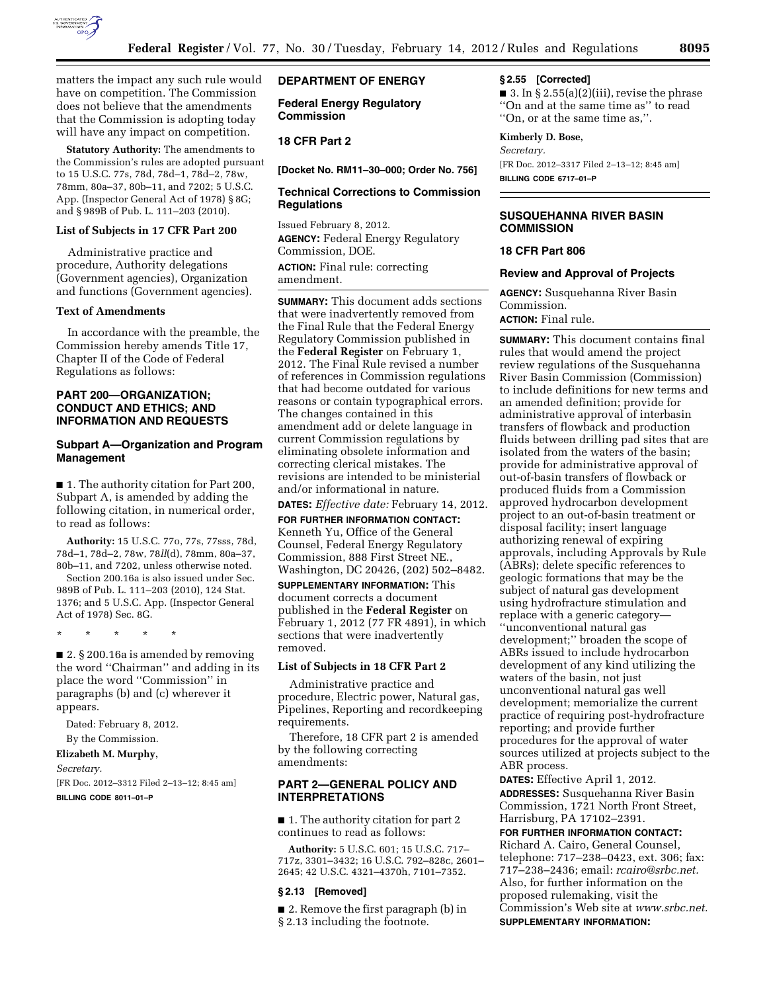

matters the impact any such rule would have on competition. The Commission does not believe that the amendments that the Commission is adopting today will have any impact on competition.

**Statutory Authority:** The amendments to the Commission's rules are adopted pursuant to 15 U.S.C. 77s, 78d, 78d–1, 78d–2, 78w, 78mm, 80a–37, 80b–11, and 7202; 5 U.S.C. App. (Inspector General Act of 1978) § 8G; and § 989B of Pub. L. 111–203 (2010).

### **List of Subjects in 17 CFR Part 200**

Administrative practice and procedure, Authority delegations (Government agencies), Organization and functions (Government agencies).

### **Text of Amendments**

In accordance with the preamble, the Commission hereby amends Title 17, Chapter II of the Code of Federal Regulations as follows:

# **PART 200—ORGANIZATION; CONDUCT AND ETHICS; AND INFORMATION AND REQUESTS**

### **Subpart A—Organization and Program Management**

■ 1. The authority citation for Part 200, Subpart A, is amended by adding the following citation, in numerical order, to read as follows:

**Authority:** 15 U.S.C. 77o, 77s, 77sss, 78d, 78d–1, 78d–2, 78w, 78*ll*(d), 78mm, 80a–37, 80b–11, and 7202, unless otherwise noted. Section 200.16a is also issued under Sec. 989B of Pub. L. 111–203 (2010), 124 Stat. 1376; and 5 U.S.C. App. (Inspector General Act of 1978) Sec. 8G.

\* \* \* \* \*

■ 2. § 200.16a is amended by removing the word ''Chairman'' and adding in its place the word ''Commission'' in paragraphs (b) and (c) wherever it appears.

Dated: February 8, 2012.

By the Commission.

# **Elizabeth M. Murphy,**

*Secretary.* 

[FR Doc. 2012–3312 Filed 2–13–12; 8:45 am] **BILLING CODE 8011–01–P** 

### **DEPARTMENT OF ENERGY**

**Federal Energy Regulatory Commission** 

# **18 CFR Part 2**

**[Docket No. RM11–30–000; Order No. 756]** 

## **Technical Corrections to Commission Regulations**

Issued February 8, 2012. **AGENCY:** Federal Energy Regulatory Commission, DOE. **ACTION:** Final rule: correcting amendment.

**SUMMARY:** This document adds sections that were inadvertently removed from the Final Rule that the Federal Energy Regulatory Commission published in the **Federal Register** on February 1, 2012. The Final Rule revised a number of references in Commission regulations that had become outdated for various reasons or contain typographical errors. The changes contained in this amendment add or delete language in current Commission regulations by eliminating obsolete information and correcting clerical mistakes. The revisions are intended to be ministerial and/or informational in nature.

**DATES:** *Effective date:* February 14, 2012.

**FOR FURTHER INFORMATION CONTACT:**  Kenneth Yu, Office of the General Counsel, Federal Energy Regulatory Commission, 888 First Street NE., Washington, DC 20426, (202) 502–8482.

**SUPPLEMENTARY INFORMATION:** This document corrects a document published in the **Federal Register** on February 1, 2012 (77 FR 4891), in which sections that were inadvertently removed.

### **List of Subjects in 18 CFR Part 2**

Administrative practice and procedure, Electric power, Natural gas, Pipelines, Reporting and recordkeeping requirements.

Therefore, 18 CFR part 2 is amended by the following correcting amendments:

# **PART 2—GENERAL POLICY AND INTERPRETATIONS**

■ 1. The authority citation for part 2 continues to read as follows:

**Authority:** 5 U.S.C. 601; 15 U.S.C. 717– 717z, 3301–3432; 16 U.S.C. 792–828c, 2601– 2645; 42 U.S.C. 4321–4370h, 7101–7352.

#### **§ 2.13 [Removed]**

■ 2. Remove the first paragraph (b) in § 2.13 including the footnote.

## **§ 2.55 [Corrected]**

 $\blacksquare$  3. In § 2.55(a)(2)(iii), revise the phrase ''On and at the same time as'' to read ''On, or at the same time as,''.

## **Kimberly D. Bose,**

*Secretary.*  [FR Doc. 2012–3317 Filed 2–13–12; 8:45 am] **BILLING CODE 6717–01–P** 

## **SUSQUEHANNA RIVER BASIN COMMISSION**

### **18 CFR Part 806**

### **Review and Approval of Projects**

**AGENCY:** Susquehanna River Basin Commission.

**ACTION:** Final rule.

**SUMMARY:** This document contains final rules that would amend the project review regulations of the Susquehanna River Basin Commission (Commission) to include definitions for new terms and an amended definition; provide for administrative approval of interbasin transfers of flowback and production fluids between drilling pad sites that are isolated from the waters of the basin; provide for administrative approval of out-of-basin transfers of flowback or produced fluids from a Commission approved hydrocarbon development project to an out-of-basin treatment or disposal facility; insert language authorizing renewal of expiring approvals, including Approvals by Rule (ABRs); delete specific references to geologic formations that may be the subject of natural gas development using hydrofracture stimulation and replace with a generic category— ''unconventional natural gas development;'' broaden the scope of ABRs issued to include hydrocarbon development of any kind utilizing the waters of the basin, not just unconventional natural gas well development; memorialize the current practice of requiring post-hydrofracture reporting; and provide further procedures for the approval of water sources utilized at projects subject to the ABR process.

**DATES:** Effective April 1, 2012. **ADDRESSES:** Susquehanna River Basin Commission, 1721 North Front Street, Harrisburg, PA 17102–2391.

**FOR FURTHER INFORMATION CONTACT:**  Richard A. Cairo, General Counsel, telephone: 717–238–0423, ext. 306; fax: 717–238–2436; email: *[rcairo@srbc.net.](mailto:rcairo@srbc.net)*  Also, for further information on the proposed rulemaking, visit the Commission's Web site at *[www.srbc.net.](http://www.srbc.net)*  **SUPPLEMENTARY INFORMATION:**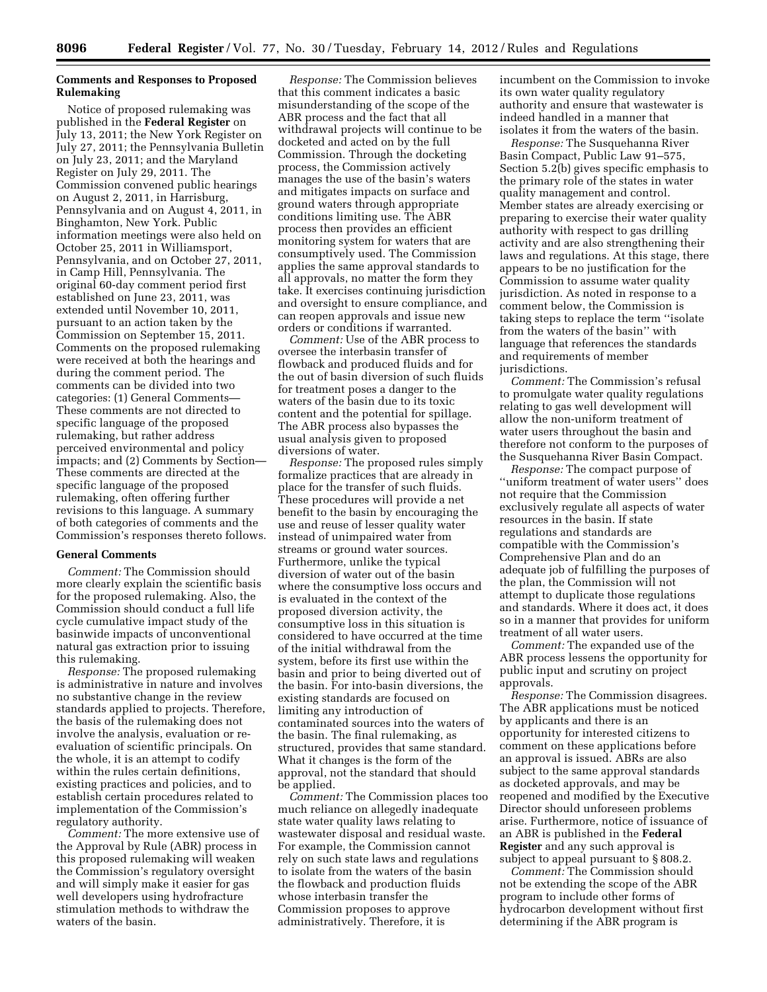## **Comments and Responses to Proposed Rulemaking**

Notice of proposed rulemaking was published in the **Federal Register** on July 13, 2011; the New York Register on July 27, 2011; the Pennsylvania Bulletin on July 23, 2011; and the Maryland Register on July 29, 2011. The Commission convened public hearings on August 2, 2011, in Harrisburg, Pennsylvania and on August 4, 2011, in Binghamton, New York. Public information meetings were also held on October 25, 2011 in Williamsport, Pennsylvania, and on October 27, 2011, in Camp Hill, Pennsylvania. The original 60-day comment period first established on June 23, 2011, was extended until November 10, 2011, pursuant to an action taken by the Commission on September 15, 2011. Comments on the proposed rulemaking were received at both the hearings and during the comment period. The comments can be divided into two categories: (1) General Comments— These comments are not directed to specific language of the proposed rulemaking, but rather address perceived environmental and policy impacts; and (2) Comments by Section— These comments are directed at the specific language of the proposed rulemaking, often offering further revisions to this language. A summary of both categories of comments and the Commission's responses thereto follows.

#### **General Comments**

*Comment:* The Commission should more clearly explain the scientific basis for the proposed rulemaking. Also, the Commission should conduct a full life cycle cumulative impact study of the basinwide impacts of unconventional natural gas extraction prior to issuing this rulemaking.

*Response:* The proposed rulemaking is administrative in nature and involves no substantive change in the review standards applied to projects. Therefore, the basis of the rulemaking does not involve the analysis, evaluation or reevaluation of scientific principals. On the whole, it is an attempt to codify within the rules certain definitions, existing practices and policies, and to establish certain procedures related to implementation of the Commission's regulatory authority.

*Comment:* The more extensive use of the Approval by Rule (ABR) process in this proposed rulemaking will weaken the Commission's regulatory oversight and will simply make it easier for gas well developers using hydrofracture stimulation methods to withdraw the waters of the basin.

*Response:* The Commission believes that this comment indicates a basic misunderstanding of the scope of the ABR process and the fact that all withdrawal projects will continue to be docketed and acted on by the full Commission. Through the docketing process, the Commission actively manages the use of the basin's waters and mitigates impacts on surface and ground waters through appropriate conditions limiting use. The ABR process then provides an efficient monitoring system for waters that are consumptively used. The Commission applies the same approval standards to all approvals, no matter the form they take. It exercises continuing jurisdiction and oversight to ensure compliance, and can reopen approvals and issue new orders or conditions if warranted.

*Comment:* Use of the ABR process to oversee the interbasin transfer of flowback and produced fluids and for the out of basin diversion of such fluids for treatment poses a danger to the waters of the basin due to its toxic content and the potential for spillage. The ABR process also bypasses the usual analysis given to proposed diversions of water.

*Response:* The proposed rules simply formalize practices that are already in place for the transfer of such fluids. These procedures will provide a net benefit to the basin by encouraging the use and reuse of lesser quality water instead of unimpaired water from streams or ground water sources. Furthermore, unlike the typical diversion of water out of the basin where the consumptive loss occurs and is evaluated in the context of the proposed diversion activity, the consumptive loss in this situation is considered to have occurred at the time of the initial withdrawal from the system, before its first use within the basin and prior to being diverted out of the basin. For into-basin diversions, the existing standards are focused on limiting any introduction of contaminated sources into the waters of the basin. The final rulemaking, as structured, provides that same standard. What it changes is the form of the approval, not the standard that should be applied.

*Comment:* The Commission places too much reliance on allegedly inadequate state water quality laws relating to wastewater disposal and residual waste. For example, the Commission cannot rely on such state laws and regulations to isolate from the waters of the basin the flowback and production fluids whose interbasin transfer the Commission proposes to approve administratively. Therefore, it is

incumbent on the Commission to invoke its own water quality regulatory authority and ensure that wastewater is indeed handled in a manner that isolates it from the waters of the basin.

*Response:* The Susquehanna River Basin Compact, Public Law 91–575, Section 5.2(b) gives specific emphasis to the primary role of the states in water quality management and control. Member states are already exercising or preparing to exercise their water quality authority with respect to gas drilling activity and are also strengthening their laws and regulations. At this stage, there appears to be no justification for the Commission to assume water quality jurisdiction. As noted in response to a comment below, the Commission is taking steps to replace the term ''isolate from the waters of the basin'' with language that references the standards and requirements of member jurisdictions.

*Comment:* The Commission's refusal to promulgate water quality regulations relating to gas well development will allow the non-uniform treatment of water users throughout the basin and therefore not conform to the purposes of the Susquehanna River Basin Compact.

*Response:* The compact purpose of ''uniform treatment of water users'' does not require that the Commission exclusively regulate all aspects of water resources in the basin. If state regulations and standards are compatible with the Commission's Comprehensive Plan and do an adequate job of fulfilling the purposes of the plan, the Commission will not attempt to duplicate those regulations and standards. Where it does act, it does so in a manner that provides for uniform treatment of all water users.

*Comment:* The expanded use of the ABR process lessens the opportunity for public input and scrutiny on project approvals.

*Response:* The Commission disagrees. The ABR applications must be noticed by applicants and there is an opportunity for interested citizens to comment on these applications before an approval is issued. ABRs are also subject to the same approval standards as docketed approvals, and may be reopened and modified by the Executive Director should unforeseen problems arise. Furthermore, notice of issuance of an ABR is published in the **Federal Register** and any such approval is subject to appeal pursuant to § 808.2.

*Comment:* The Commission should not be extending the scope of the ABR program to include other forms of hydrocarbon development without first determining if the ABR program is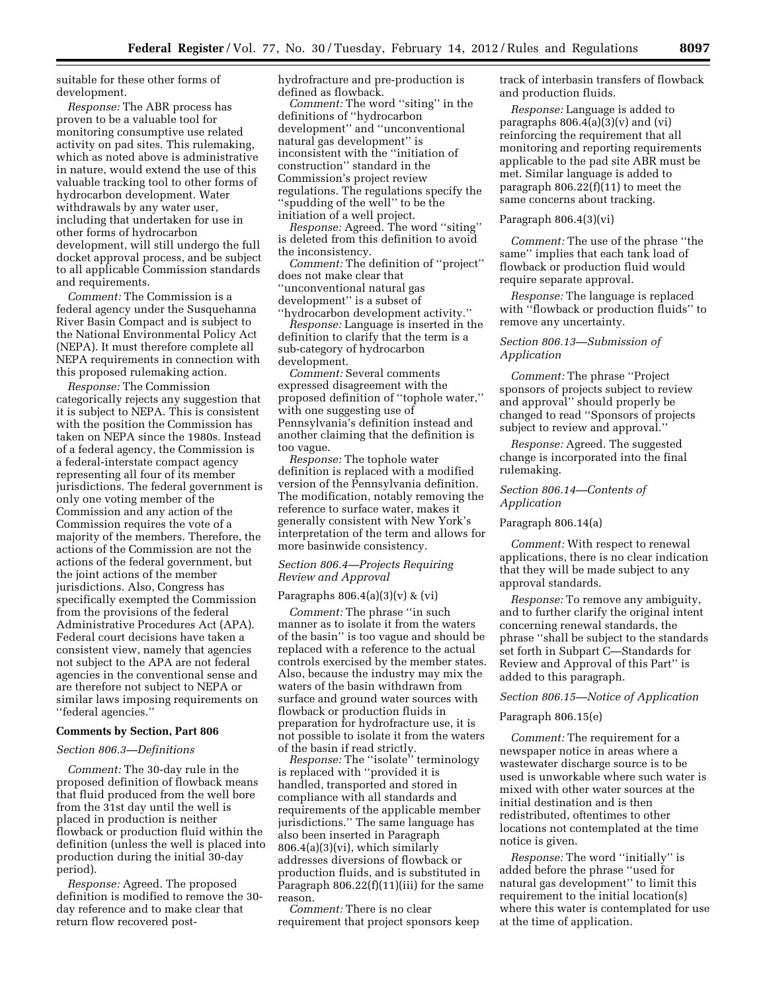suitable for these other forms of development.

*Response:* The ABR process has proven to be a valuable tool for monitoring consumptive use related activity on pad sites. This rulemaking, which as noted above is administrative in nature, would extend the use of this valuable tracking tool to other forms of hydrocarbon development. Water withdrawals by any water user, including that undertaken for use in other forms of hydrocarbon development, will still undergo the full docket approval process, and be subject to all applicable Commission standards and requirements.

*Comment:* The Commission is a federal agency under the Susquehanna River Basin Compact and is subject to the National Environmental Policy Act (NEPA). It must therefore complete all NEPA requirements in connection with this proposed rulemaking action.

*Response:* The Commission categorically rejects any suggestion that it is subject to NEPA. This is consistent with the position the Commission has taken on NEPA since the 1980s. Instead of a federal agency, the Commission is a federal-interstate compact agency representing all four of its member jurisdictions. The federal government is only one voting member of the Commission and any action of the Commission requires the vote of a majority of the members. Therefore, the actions of the Commission are not the actions of the federal government, but the joint actions of the member jurisdictions. Also, Congress has specifically exempted the Commission from the provisions of the federal Administrative Procedures Act (APA). Federal court decisions have taken a consistent view, namely that agencies not subject to the APA are not federal agencies in the conventional sense and are therefore not subject to NEPA or similar laws imposing requirements on ''federal agencies.''

# **Comments by Section, Part 806**

#### *Section 806.3—Definitions*

*Comment:* The 30-day rule in the proposed definition of flowback means that fluid produced from the well bore from the 31st day until the well is placed in production is neither flowback or production fluid within the definition (unless the well is placed into production during the initial 30-day period).

*Response:* Agreed. The proposed definition is modified to remove the 30 day reference and to make clear that return flow recovered posthydrofracture and pre-production is defined as flowback.

*Comment:* The word ''siting'' in the definitions of ''hydrocarbon development'' and ''unconventional natural gas development'' is inconsistent with the ''initiation of construction'' standard in the Commission's project review regulations. The regulations specify the ''spudding of the well'' to be the initiation of a well project.

*Response:* Agreed. The word ''siting'' is deleted from this definition to avoid the inconsistency.

*Comment:* The definition of ''project'' does not make clear that ''unconventional natural gas development'' is a subset of ''hydrocarbon development activity.''

*Response:* Language is inserted in the definition to clarify that the term is a sub-category of hydrocarbon development.

*Comment:* Several comments expressed disagreement with the proposed definition of ''tophole water,'' with one suggesting use of Pennsylvania's definition instead and another claiming that the definition is too vague.

*Response:* The tophole water definition is replaced with a modified version of the Pennsylvania definition. The modification, notably removing the reference to surface water, makes it generally consistent with New York's interpretation of the term and allows for more basinwide consistency.

## *Section 806.4—Projects Requiring Review and Approval*

#### Paragraphs  $806.4(a)(3)(v)$  &  $(vi)$

*Comment:* The phrase ''in such manner as to isolate it from the waters of the basin'' is too vague and should be replaced with a reference to the actual controls exercised by the member states. Also, because the industry may mix the waters of the basin withdrawn from surface and ground water sources with flowback or production fluids in preparation for hydrofracture use, it is not possible to isolate it from the waters of the basin if read strictly.

*Response:* The ''isolate'' terminology is replaced with ''provided it is handled, transported and stored in compliance with all standards and requirements of the applicable member jurisdictions.'' The same language has also been inserted in Paragraph 806.4(a)(3)(vi), which similarly addresses diversions of flowback or production fluids, and is substituted in Paragraph 806.22(f)(11)(iii) for the same reason.

*Comment:* There is no clear requirement that project sponsors keep track of interbasin transfers of flowback and production fluids.

*Response:* Language is added to paragraphs  $806.4(a)(3)(v)$  and  $(vi)$ reinforcing the requirement that all monitoring and reporting requirements applicable to the pad site ABR must be met. Similar language is added to paragraph 806.22(f)(11) to meet the same concerns about tracking.

### Paragraph 806.4(3)(vi)

*Comment:* The use of the phrase ''the same'' implies that each tank load of flowback or production fluid would require separate approval.

*Response:* The language is replaced with ''flowback or production fluids'' to remove any uncertainty.

## *Section 806.13—Submission of Application*

*Comment:* The phrase ''Project sponsors of projects subject to review and approval'' should properly be changed to read ''Sponsors of projects subject to review and approval.''

*Response:* Agreed. The suggested change is incorporated into the final rulemaking.

### *Section 806.14—Contents of Application*

#### Paragraph 806.14(a)

*Comment:* With respect to renewal applications, there is no clear indication that they will be made subject to any approval standards.

*Response:* To remove any ambiguity, and to further clarify the original intent concerning renewal standards, the phrase ''shall be subject to the standards set forth in Subpart C—Standards for Review and Approval of this Part'' is added to this paragraph.

### *Section 806.15—Notice of Application*

### Paragraph 806.15(e)

*Comment:* The requirement for a newspaper notice in areas where a wastewater discharge source is to be used is unworkable where such water is mixed with other water sources at the initial destination and is then redistributed, oftentimes to other locations not contemplated at the time notice is given.

*Response:* The word ''initially'' is added before the phrase ''used for natural gas development'' to limit this requirement to the initial location(s) where this water is contemplated for use at the time of application.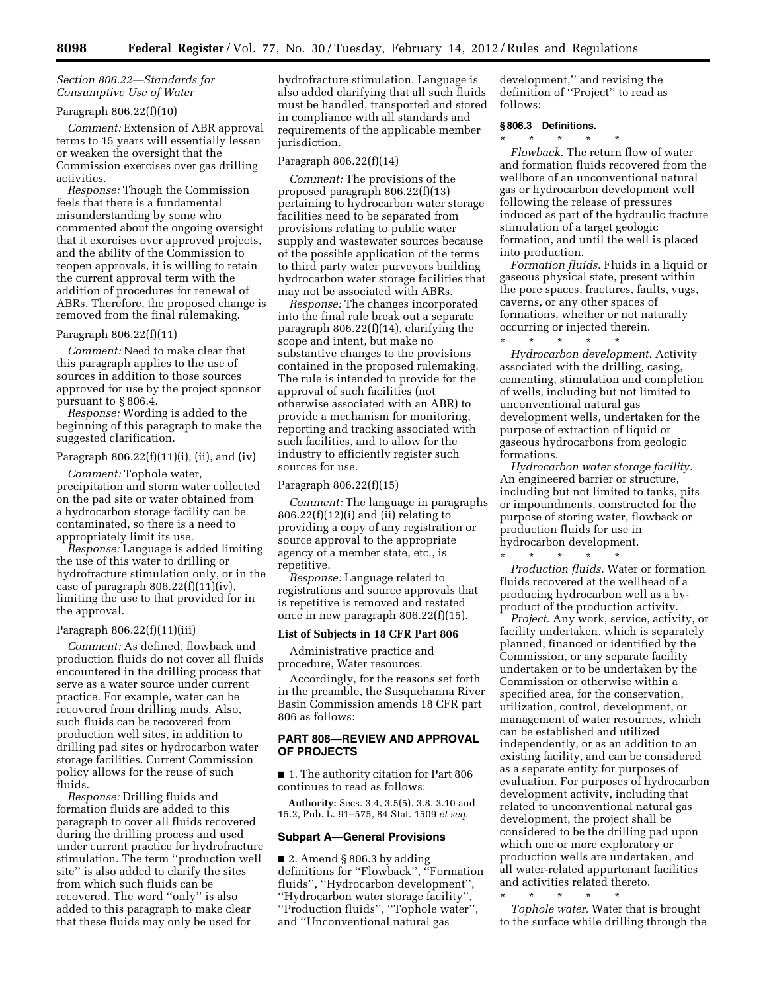## *Section 806.22—Standards for Consumptive Use of Water*

## Paragraph 806.22(f)(10)

*Comment:* Extension of ABR approval terms to 15 years will essentially lessen or weaken the oversight that the Commission exercises over gas drilling activities.

*Response:* Though the Commission feels that there is a fundamental misunderstanding by some who commented about the ongoing oversight that it exercises over approved projects, and the ability of the Commission to reopen approvals, it is willing to retain the current approval term with the addition of procedures for renewal of ABRs. Therefore, the proposed change is removed from the final rulemaking.

### Paragraph 806.22(f)(11)

*Comment:* Need to make clear that this paragraph applies to the use of sources in addition to those sources approved for use by the project sponsor pursuant to § 806.4.

*Response:* Wording is added to the beginning of this paragraph to make the suggested clarification.

#### Paragraph 806.22(f)(11)(i), (ii), and (iv)

*Comment:* Tophole water, precipitation and storm water collected on the pad site or water obtained from a hydrocarbon storage facility can be contaminated, so there is a need to appropriately limit its use.

*Response:* Language is added limiting the use of this water to drilling or hydrofracture stimulation only, or in the case of paragraph  $806.22(f)(11)(iv)$ , limiting the use to that provided for in the approval.

#### Paragraph 806.22(f)(11)(iii)

*Comment:* As defined, flowback and production fluids do not cover all fluids encountered in the drilling process that serve as a water source under current practice. For example, water can be recovered from drilling muds. Also, such fluids can be recovered from production well sites, in addition to drilling pad sites or hydrocarbon water storage facilities. Current Commission policy allows for the reuse of such fluids.

*Response:* Drilling fluids and formation fluids are added to this paragraph to cover all fluids recovered during the drilling process and used under current practice for hydrofracture stimulation. The term ''production well site'' is also added to clarify the sites from which such fluids can be recovered. The word ''only'' is also added to this paragraph to make clear that these fluids may only be used for

hydrofracture stimulation. Language is also added clarifying that all such fluids must be handled, transported and stored in compliance with all standards and requirements of the applicable member jurisdiction.

#### Paragraph 806.22(f)(14)

*Comment:* The provisions of the proposed paragraph 806.22(f)(13) pertaining to hydrocarbon water storage facilities need to be separated from provisions relating to public water supply and wastewater sources because of the possible application of the terms to third party water purveyors building hydrocarbon water storage facilities that may not be associated with ABRs.

*Response:* The changes incorporated into the final rule break out a separate paragraph 806.22(f)(14), clarifying the scope and intent, but make no substantive changes to the provisions contained in the proposed rulemaking. The rule is intended to provide for the approval of such facilities (not otherwise associated with an ABR) to provide a mechanism for monitoring, reporting and tracking associated with such facilities, and to allow for the industry to efficiently register such sources for use.

#### Paragraph 806.22(f)(15)

*Comment:* The language in paragraphs  $806.22(f)(12)(i)$  and  $(ii)$  relating to providing a copy of any registration or source approval to the appropriate agency of a member state, etc., is repetitive.

*Response:* Language related to registrations and source approvals that is repetitive is removed and restated once in new paragraph 806.22(f)(15).

### **List of Subjects in 18 CFR Part 806**

Administrative practice and procedure, Water resources.

Accordingly, for the reasons set forth in the preamble, the Susquehanna River Basin Commission amends 18 CFR part 806 as follows:

# **PART 806—REVIEW AND APPROVAL OF PROJECTS**

■ 1. The authority citation for Part 806 continues to read as follows:

**Authority:** Secs. 3.4, 3.5(5), 3.8, 3.10 and 15.2, Pub. L. 91–575, 84 Stat. 1509 *et seq.* 

### **Subpart A—General Provisions**

 $\blacksquare$  2. Amend § 806.3 by adding definitions for ''Flowback'', ''Formation fluids'', ''Hydrocarbon development'', ''Hydrocarbon water storage facility'', ''Production fluids'', ''Tophole water'', and ''Unconventional natural gas

development,'' and revising the definition of ''Project'' to read as follows:

### **§ 806.3 Definitions.**

\* \* \* \* \*

*Flowback.* The return flow of water and formation fluids recovered from the wellbore of an unconventional natural gas or hydrocarbon development well following the release of pressures induced as part of the hydraulic fracture stimulation of a target geologic formation, and until the well is placed into production.

*Formation fluids.* Fluids in a liquid or gaseous physical state, present within the pore spaces, fractures, faults, vugs, caverns, or any other spaces of formations, whether or not naturally occurring or injected therein.

\* \* \* \* \* *Hydrocarbon development.* Activity associated with the drilling, casing, cementing, stimulation and completion of wells, including but not limited to unconventional natural gas development wells, undertaken for the purpose of extraction of liquid or gaseous hydrocarbons from geologic formations.

*Hydrocarbon water storage facility.*  An engineered barrier or structure, including but not limited to tanks, pits or impoundments, constructed for the purpose of storing water, flowback or production fluids for use in hydrocarbon development.

\* \* \* \* \* *Production fluids.* Water or formation fluids recovered at the wellhead of a producing hydrocarbon well as a byproduct of the production activity.

*Project.* Any work, service, activity, or facility undertaken, which is separately planned, financed or identified by the Commission, or any separate facility undertaken or to be undertaken by the Commission or otherwise within a specified area, for the conservation, utilization, control, development, or management of water resources, which can be established and utilized independently, or as an addition to an existing facility, and can be considered as a separate entity for purposes of evaluation. For purposes of hydrocarbon development activity, including that related to unconventional natural gas development, the project shall be considered to be the drilling pad upon which one or more exploratory or production wells are undertaken, and all water-related appurtenant facilities and activities related thereto.

\* \* \* \* \* *Tophole water.* Water that is brought to the surface while drilling through the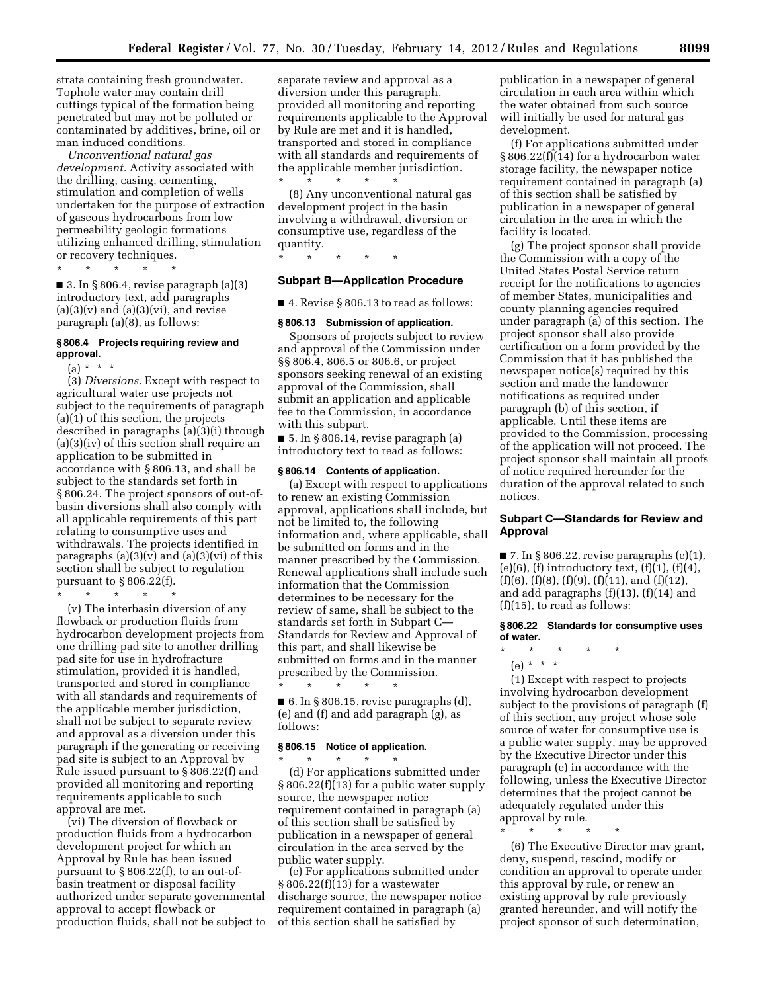strata containing fresh groundwater. Tophole water may contain drill cuttings typical of the formation being penetrated but may not be polluted or contaminated by additives, brine, oil or man induced conditions.

*Unconventional natural gas development.* Activity associated with the drilling, casing, cementing, stimulation and completion of wells undertaken for the purpose of extraction of gaseous hydrocarbons from low permeability geologic formations utilizing enhanced drilling, stimulation or recovery techniques.

\* \* \* \* \*

 $\blacksquare$  3. In § 806.4, revise paragraph (a)(3) introductory text, add paragraphs  $(a)(3)(v)$  and  $(a)(3)(vi)$ , and revise paragraph (a)(8), as follows:

#### **§ 806.4 Projects requiring review and approval.**

 $(a) * * * *$ 

(3) *Diversions.* Except with respect to agricultural water use projects not subject to the requirements of paragraph (a)(1) of this section, the projects described in paragraphs (a)(3)(i) through (a)(3)(iv) of this section shall require an application to be submitted in accordance with § 806.13, and shall be subject to the standards set forth in § 806.24. The project sponsors of out-ofbasin diversions shall also comply with all applicable requirements of this part relating to consumptive uses and withdrawals. The projects identified in paragraphs  $(a)(3)(v)$  and  $(a)(3)(vi)$  of this section shall be subject to regulation pursuant to § 806.22(f).

\* \* \* \* \*

(v) The interbasin diversion of any flowback or production fluids from hydrocarbon development projects from one drilling pad site to another drilling pad site for use in hydrofracture stimulation, provided it is handled, transported and stored in compliance with all standards and requirements of the applicable member jurisdiction, shall not be subject to separate review and approval as a diversion under this paragraph if the generating or receiving pad site is subject to an Approval by Rule issued pursuant to § 806.22(f) and provided all monitoring and reporting requirements applicable to such approval are met.

(vi) The diversion of flowback or production fluids from a hydrocarbon development project for which an Approval by Rule has been issued pursuant to § 806.22(f), to an out-ofbasin treatment or disposal facility authorized under separate governmental approval to accept flowback or production fluids, shall not be subject to

separate review and approval as a diversion under this paragraph, provided all monitoring and reporting requirements applicable to the Approval by Rule are met and it is handled, transported and stored in compliance with all standards and requirements of the applicable member jurisdiction. \* \* \* \* \*

(8) Any unconventional natural gas development project in the basin involving a withdrawal, diversion or consumptive use, regardless of the quantity.

\* \* \* \* \*

### **Subpart B—Application Procedure**

■ 4. Revise § 806.13 to read as follows:

### **§ 806.13 Submission of application.**

Sponsors of projects subject to review and approval of the Commission under §§ 806.4, 806.5 or 806.6, or project sponsors seeking renewal of an existing approval of the Commission, shall submit an application and applicable fee to the Commission, in accordance with this subpart.

■ 5. In § 806.14, revise paragraph (a) introductory text to read as follows:

#### **§ 806.14 Contents of application.**

(a) Except with respect to applications to renew an existing Commission approval, applications shall include, but not be limited to, the following information and, where applicable, shall be submitted on forms and in the manner prescribed by the Commission. Renewal applications shall include such information that the Commission determines to be necessary for the review of same, shall be subject to the standards set forth in Subpart C— Standards for Review and Approval of this part, and shall likewise be submitted on forms and in the manner prescribed by the Commission.

 $\blacksquare$  6. In § 806.15, revise paragraphs (d), (e) and (f) and add paragraph (g), as follows:

#### **§ 806.15 Notice of application.**

\* \* \* \* \*

\* \* \* \* \* (d) For applications submitted under § 806.22(f)(13) for a public water supply source, the newspaper notice requirement contained in paragraph (a) of this section shall be satisfied by publication in a newspaper of general circulation in the area served by the public water supply.

(e) For applications submitted under § 806.22(f)(13) for a wastewater discharge source, the newspaper notice requirement contained in paragraph (a) of this section shall be satisfied by

publication in a newspaper of general circulation in each area within which the water obtained from such source will initially be used for natural gas development.

(f) For applications submitted under § 806.22(f)(14) for a hydrocarbon water storage facility, the newspaper notice requirement contained in paragraph (a) of this section shall be satisfied by publication in a newspaper of general circulation in the area in which the facility is located.

(g) The project sponsor shall provide the Commission with a copy of the United States Postal Service return receipt for the notifications to agencies of member States, municipalities and county planning agencies required under paragraph (a) of this section. The project sponsor shall also provide certification on a form provided by the Commission that it has published the newspaper notice(s) required by this section and made the landowner notifications as required under paragraph (b) of this section, if applicable. Until these items are provided to the Commission, processing of the application will not proceed. The project sponsor shall maintain all proofs of notice required hereunder for the duration of the approval related to such notices.

## **Subpart C—Standards for Review and Approval**

 $\blacksquare$  7. In § 806.22, revise paragraphs (e)(1),  $(e)(6)$ ,  $(f)$  introductory text,  $(f)(1)$ ,  $(f)(4)$ ,  $(f)(6)$ ,  $(f)(8)$ ,  $(f)(9)$ ,  $(f)(11)$ , and  $(f)(12)$ , and add paragraphs (f)(13), (f)(14) and (f)(15), to read as follows:

#### **§ 806.22 Standards for consumptive uses of water.**

\* \* \* \* \* (e) \* \* \*

(1) Except with respect to projects involving hydrocarbon development subject to the provisions of paragraph (f) of this section, any project whose sole source of water for consumptive use is a public water supply, may be approved by the Executive Director under this paragraph (e) in accordance with the following, unless the Executive Director determines that the project cannot be adequately regulated under this approval by rule.

\* \* \* \* \*

(6) The Executive Director may grant, deny, suspend, rescind, modify or condition an approval to operate under this approval by rule, or renew an existing approval by rule previously granted hereunder, and will notify the project sponsor of such determination,